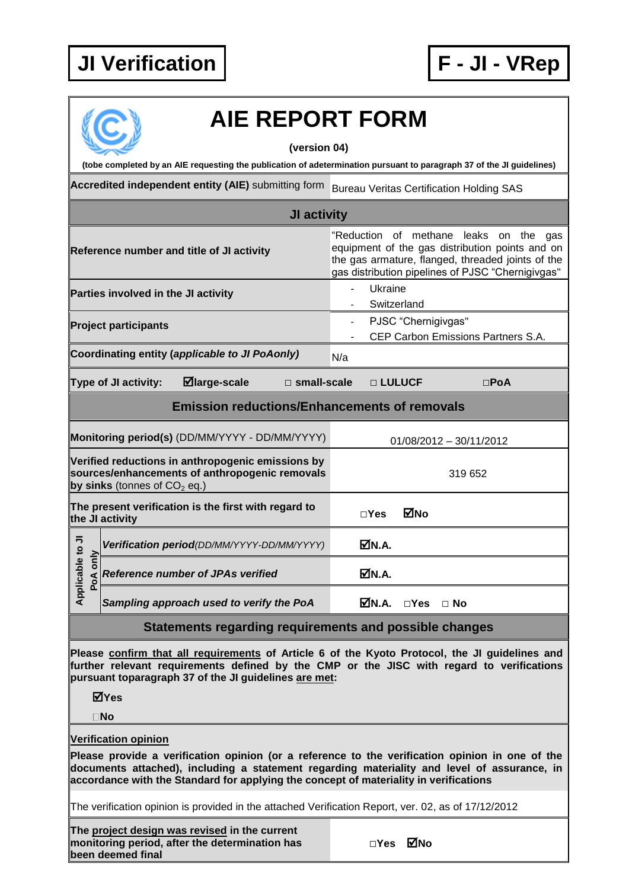## **JI Verification F - JI - VRep**



## **AIE REPORT FORM**

**(version 04)**

**(tobe completed by an AIE requesting the publication of adetermination pursuant to paragraph 37 of the JI guidelines)**

**Accredited independent entity (AIE)** submitting form Bureau Veritas Certification Holding SAS

| JI activity                                                                                                                                                                                                                                                                                                            |                                                                                                                                                                                                        |
|------------------------------------------------------------------------------------------------------------------------------------------------------------------------------------------------------------------------------------------------------------------------------------------------------------------------|--------------------------------------------------------------------------------------------------------------------------------------------------------------------------------------------------------|
| Reference number and title of JI activity                                                                                                                                                                                                                                                                              | "Reduction of methane leaks on the<br>gas<br>equipment of the gas distribution points and on<br>the gas armature, flanged, threaded joints of the<br>gas distribution pipelines of PJSC "Chernigivgas" |
| Parties involved in the JI activity                                                                                                                                                                                                                                                                                    | Ukraine<br>Switzerland                                                                                                                                                                                 |
| <b>Project participants</b>                                                                                                                                                                                                                                                                                            | PJSC "Chernigivgas"<br>$\blacksquare$<br>CEP Carbon Emissions Partners S.A.                                                                                                                            |
| Coordinating entity (applicable to JI PoAonly)                                                                                                                                                                                                                                                                         | N/a                                                                                                                                                                                                    |
| $\boxdot$ large-scale<br>Type of JI activity:<br>$\square$ small-scale                                                                                                                                                                                                                                                 | □ LULUCF<br>$\square$ PoA                                                                                                                                                                              |
| <b>Emission reductions/Enhancements of removals</b>                                                                                                                                                                                                                                                                    |                                                                                                                                                                                                        |
| Monitoring period(s) (DD/MM/YYYY - DD/MM/YYYY)                                                                                                                                                                                                                                                                         | 01/08/2012 - 30/11/2012                                                                                                                                                                                |
| Verified reductions in anthropogenic emissions by<br>sources/enhancements of anthropogenic removals<br>by sinks (tonnes of $CO2$ eq.)                                                                                                                                                                                  | 319 652                                                                                                                                                                                                |
| The present verification is the first with regard to<br>the JI activity                                                                                                                                                                                                                                                | ⊠No<br>$\square$ Yes                                                                                                                                                                                   |
| Verification period(DD/MM/YYYY-DD/MM/YYYY)                                                                                                                                                                                                                                                                             | MM.A.                                                                                                                                                                                                  |
| Applicable to JI<br>only<br>Reference number of JPAs verified<br>PoA                                                                                                                                                                                                                                                   | M.A.                                                                                                                                                                                                   |
| Sampling approach used to verify the PoA                                                                                                                                                                                                                                                                               | MN.A.<br>$\Box$ Yes $\Box$ No                                                                                                                                                                          |
| Statements regarding requirements and possible changes                                                                                                                                                                                                                                                                 |                                                                                                                                                                                                        |
| Please confirm that all requirements of Article 6 of the Kyoto Protocol, the JI guidelines and<br>further relevant requirements defined by the CMP or the JISC with regard to verifications<br>pursuant toparagraph 37 of the JI guidelines are met:<br>⊠Yes                                                           |                                                                                                                                                                                                        |
| $\square$ No                                                                                                                                                                                                                                                                                                           |                                                                                                                                                                                                        |
| <b>Verification opinion</b><br>Please provide a verification opinion (or a reference to the verification opinion in one of the<br>documents attached), including a statement regarding materiality and level of assurance, in<br>accordance with the Standard for applying the concept of materiality in verifications |                                                                                                                                                                                                        |
| The verification opinion is provided in the attached Verification Report, ver. 02, as of 17/12/2012                                                                                                                                                                                                                    |                                                                                                                                                                                                        |
|                                                                                                                                                                                                                                                                                                                        |                                                                                                                                                                                                        |

**The project design was revised in the current monitoring period, after the determination has been deemed final**

|  |  |  |  |  |  |  |  |  |  |  |  |  |  |  |  |  |  |  |  |  |  |  |  |  |  |  |  |  |  |  |  |  |  |  |  |  |  |  |  |  | $\Box$ Yes |     |
|--|--|--|--|--|--|--|--|--|--|--|--|--|--|--|--|--|--|--|--|--|--|--|--|--|--|--|--|--|--|--|--|--|--|--|--|--|--|--|--|--|------------|-----|
|  |  |  |  |  |  |  |  |  |  |  |  |  |  |  |  |  |  |  |  |  |  |  |  |  |  |  |  |  |  |  |  |  |  |  |  |  |  |  |  |  |            | ⊠́№ |
|  |  |  |  |  |  |  |  |  |  |  |  |  |  |  |  |  |  |  |  |  |  |  |  |  |  |  |  |  |  |  |  |  |  |  |  |  |  |  |  |  |            |     |
|  |  |  |  |  |  |  |  |  |  |  |  |  |  |  |  |  |  |  |  |  |  |  |  |  |  |  |  |  |  |  |  |  |  |  |  |  |  |  |  |  |            |     |
|  |  |  |  |  |  |  |  |  |  |  |  |  |  |  |  |  |  |  |  |  |  |  |  |  |  |  |  |  |  |  |  |  |  |  |  |  |  |  |  |  |            |     |
|  |  |  |  |  |  |  |  |  |  |  |  |  |  |  |  |  |  |  |  |  |  |  |  |  |  |  |  |  |  |  |  |  |  |  |  |  |  |  |  |  |            |     |
|  |  |  |  |  |  |  |  |  |  |  |  |  |  |  |  |  |  |  |  |  |  |  |  |  |  |  |  |  |  |  |  |  |  |  |  |  |  |  |  |  |            |     |